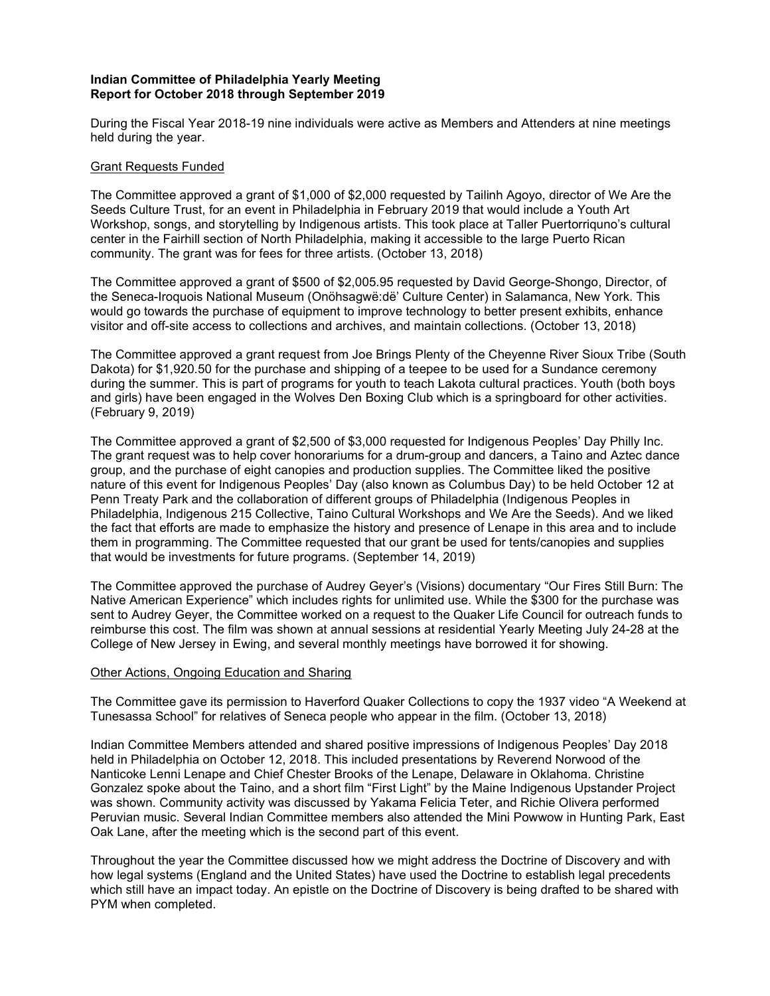# Indian Committee of Philadelphia Yearly Meeting Report for October 2018 through September 2019

During the Fiscal Year 2018-19 nine individuals were active as Members and Attenders at nine meetings held during the year.

## Grant Requests Funded

The Committee approved a grant of \$1,000 of \$2,000 requested by Tailinh Agoyo, director of We Are the Seeds Culture Trust, for an event in Philadelphia in February 2019 that would include a Youth Art Workshop, songs, and storytelling by Indigenous artists. This took place at Taller Puertorriquno's cultural center in the Fairhill section of North Philadelphia, making it accessible to the large Puerto Rican community. The grant was for fees for three artists. (October 13, 2018)

The Committee approved a grant of \$500 of \$2,005.95 requested by David George-Shongo, Director, of the Seneca-Iroquois National Museum (Onöhsagwë:dë' Culture Center) in Salamanca, New York. This would go towards the purchase of equipment to improve technology to better present exhibits, enhance visitor and off-site access to collections and archives, and maintain collections. (October 13, 2018)

The Committee approved a grant request from Joe Brings Plenty of the Cheyenne River Sioux Tribe (South Dakota) for \$1,920.50 for the purchase and shipping of a teepee to be used for a Sundance ceremony during the summer. This is part of programs for youth to teach Lakota cultural practices. Youth (both boys and girls) have been engaged in the Wolves Den Boxing Club which is a springboard for other activities. (February 9, 2019)

The Committee approved a grant of \$2,500 of \$3,000 requested for Indigenous Peoples' Day Philly Inc. The grant request was to help cover honorariums for a drum-group and dancers, a Taino and Aztec dance group, and the purchase of eight canopies and production supplies. The Committee liked the positive nature of this event for Indigenous Peoples' Day (also known as Columbus Day) to be held October 12 at Penn Treaty Park and the collaboration of different groups of Philadelphia (Indigenous Peoples in Philadelphia, Indigenous 215 Collective, Taino Cultural Workshops and We Are the Seeds). And we liked the fact that efforts are made to emphasize the history and presence of Lenape in this area and to include them in programming. The Committee requested that our grant be used for tents/canopies and supplies that would be investments for future programs. (September 14, 2019)

The Committee approved the purchase of Audrey Geyer's (Visions) documentary "Our Fires Still Burn: The Native American Experience" which includes rights for unlimited use. While the \$300 for the purchase was sent to Audrey Geyer, the Committee worked on a request to the Quaker Life Council for outreach funds to reimburse this cost. The film was shown at annual sessions at residential Yearly Meeting July 24-28 at the College of New Jersey in Ewing, and several monthly meetings have borrowed it for showing.

#### Other Actions, Ongoing Education and Sharing

The Committee gave its permission to Haverford Quaker Collections to copy the 1937 video "A Weekend at Tunesassa School" for relatives of Seneca people who appear in the film. (October 13, 2018)

Indian Committee Members attended and shared positive impressions of Indigenous Peoples' Day 2018 held in Philadelphia on October 12, 2018. This included presentations by Reverend Norwood of the Nanticoke Lenni Lenape and Chief Chester Brooks of the Lenape, Delaware in Oklahoma. Christine Gonzalez spoke about the Taino, and a short film "First Light" by the Maine Indigenous Upstander Project was shown. Community activity was discussed by Yakama Felicia Teter, and Richie Olivera performed Peruvian music. Several Indian Committee members also attended the Mini Powwow in Hunting Park, East Oak Lane, after the meeting which is the second part of this event.

Throughout the year the Committee discussed how we might address the Doctrine of Discovery and with how legal systems (England and the United States) have used the Doctrine to establish legal precedents which still have an impact today. An epistle on the Doctrine of Discovery is being drafted to be shared with PYM when completed.